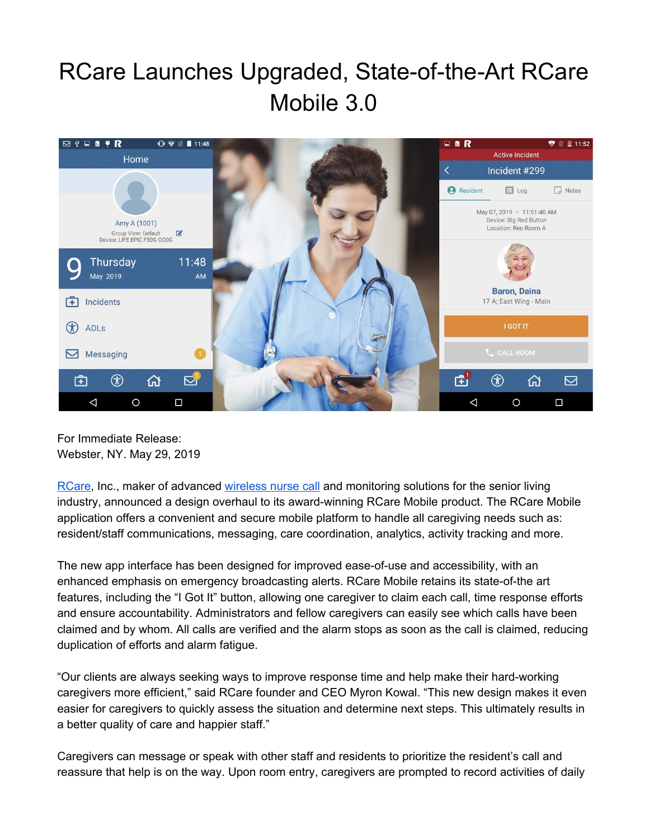## RCare Launches Upgraded, State-of-the-Art RCare Mobile 3.0



For Immediate Release: Webster, NY. May 29, 2019

[RCare,](http://rcareinc.com/) Inc., maker of advanced [wireless](https://rcareinc.com/) nurse call and monitoring solutions for the senior living industry, announced a design overhaul to its award-winning RCare Mobile product. The RCare Mobile application offers a convenient and secure mobile platform to handle all caregiving needs such as: resident/staff communications, messaging, care coordination, analytics, activity tracking and more.

The new app interface has been designed for improved ease-of-use and accessibility, with an enhanced emphasis on emergency broadcasting alerts. RCare Mobile retains its state-of-the art features, including the "I Got It" button, allowing one caregiver to claim each call, time response efforts and ensure accountability. Administrators and fellow caregivers can easily see which calls have been claimed and by whom. All calls are verified and the alarm stops as soon as the call is claimed, reducing duplication of efforts and alarm fatigue.

"Our clients are always seeking ways to improve response time and help make their hard-working caregivers more efficient," said RCare founder and CEO Myron Kowal. "This new design makes it even easier for caregivers to quickly assess the situation and determine next steps. This ultimately results in a better quality of care and happier staff."

Caregivers can message or speak with other staff and residents to prioritize the resident's call and reassure that help is on the way. Upon room entry, caregivers are prompted to record activities of daily